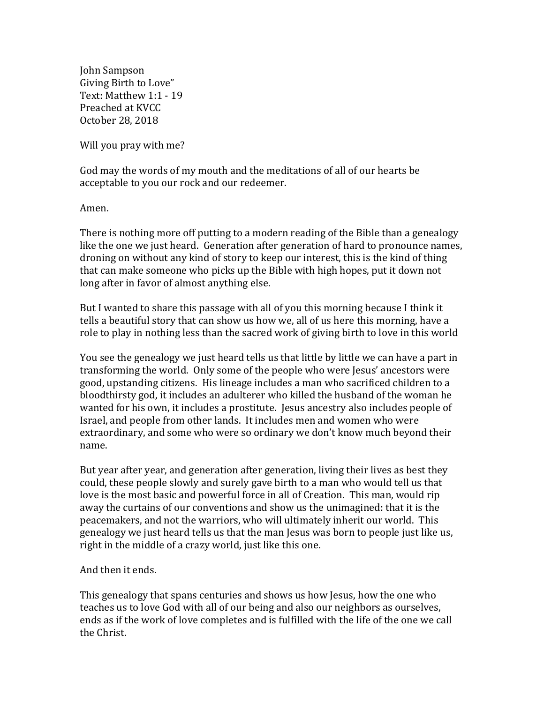John Sampson Giving Birth to Love" Text: Matthew 1:1 - 19 Preached at KVCC October 28, 2018

Will you pray with me?

God may the words of my mouth and the meditations of all of our hearts be acceptable to you our rock and our redeemer.

Amen.

There is nothing more off putting to a modern reading of the Bible than a genealogy like the one we just heard. Generation after generation of hard to pronounce names, droning on without any kind of story to keep our interest, this is the kind of thing that can make someone who picks up the Bible with high hopes, put it down not long after in favor of almost anything else.

But I wanted to share this passage with all of you this morning because I think it tells a beautiful story that can show us how we, all of us here this morning, have a role to play in nothing less than the sacred work of giving birth to love in this world

You see the genealogy we just heard tells us that little by little we can have a part in transforming the world. Only some of the people who were Jesus' ancestors were good, upstanding citizens. His lineage includes a man who sacrificed children to a bloodthirsty god, it includes an adulterer who killed the husband of the woman he wanted for his own, it includes a prostitute. Jesus ancestry also includes people of Israel, and people from other lands. It includes men and women who were extraordinary, and some who were so ordinary we don't know much beyond their name.

But year after year, and generation after generation, living their lives as best they could, these people slowly and surely gave birth to a man who would tell us that love is the most basic and powerful force in all of Creation. This man, would rip away the curtains of our conventions and show us the unimagined: that it is the peacemakers, and not the warriors, who will ultimately inherit our world. This genealogy we just heard tells us that the man Jesus was born to people just like us, right in the middle of a crazy world, just like this one.

## And then it ends.

This genealogy that spans centuries and shows us how Jesus, how the one who teaches us to love God with all of our being and also our neighbors as ourselves, ends as if the work of love completes and is fulfilled with the life of the one we call the Christ.